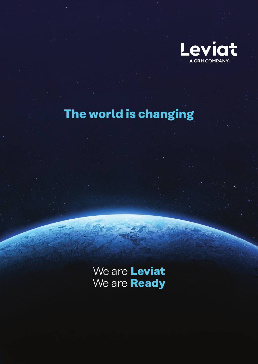

# **The world is changing**

We are **Leviat** We are **Ready**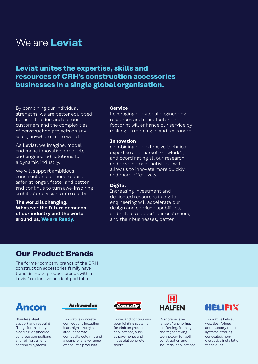## We are **Leviat**

## **Leviat unites the expertise, skills and resources of CRH's construction accessories businesses in a single global organisation.**

By combining our individual strengths, we are better equipped to meet the demands of our customers and the complexities of construction projects on any scale, anywhere in the world.

As Leviat, we imagine, model and make innovative products and engineered solutions for a dynamic industry.

We will support ambitious construction partners to build safer, stronger, faster and better, and continue to turn awe-inspiring architectural visions into reality.

**The world is changing. Whatever the future demands of our industry and the world around us, We are Ready.**

#### **Service**

Leveraging our global engineering resources and manufacturing footprint will enhance our service by making us more agile and responsive.

#### **Innovation**

Combining our extensive technical expertise and market knowledge, and coordinating all our research and development activities, will allow us to innovate more quickly and more effectively.

#### **Digital**

Increasing investment and dedicated resources in digital engineering will accelerate our design and service capabilities, and help us support our customers, and their businesses, better.

### **Our Product Brands**

The former company brands of the CRH construction accessories family have transitioned to product brands within Leviat's extensive product portfolio.

## Ancon

Stainless steel support and restraint fixings for masonry cladding, engineered concrete connections and reinforcement continuity systems.



Innovative concrete connections including lean, high strength steel-concrete composite columns and a comprehensive range of acoustic products.



Dowel and continuouspour jointing systems for slab on ground applications, such as pavements and industrial concrete floors.



Comprehensive range of anchoring, reinforcing, framing and façade fixing technology, for both construction and industrial applications.



Innovative helical wall ties, fixings and masonry repair systems offering concealed, nondisruptive installation techniques.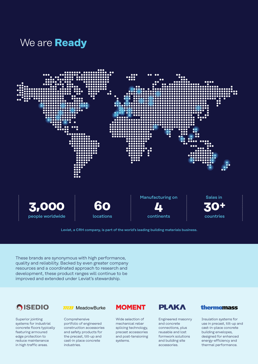## We are **Ready**



Leviat, a CRH company, is part of the world's leading building materials business.

These brands are synonymous with high performance, quality and reliability. Backed by even greater company resources and a coordinated approach to research and development, these product ranges will continue to be improved and extended under Leviat's stewardship.

## **GISEDIO**

Superior jointing systems for industrial concrete floors typically featuring armoured edge protection to reduce maintenance in high traffic areas.

#### **TILE** MeadowBurke

Comprehensive portfolio of engineered construction accessories and safety products for the precast, tilt-up and cast-in place concrete industries.

### **MOMENT**

Wide selection of mechanical rebar splicing technology, precast accessories and post-tensioning systems.

### **PLAKA**

Engineered masonry and concrete connections, plus reusable and lost formwork solutions and building site accessories.

#### thermomass

Insulation systems for use in precast, tilt-up and cast-in-place concrete building envelopes, designed for enhanced energy-efficiency and thermal performance.